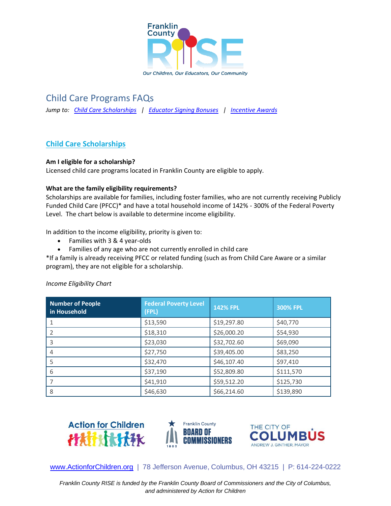

# Child Care Programs FAQs

*Jump to: [Child Care Scholarships](#page-0-0) | [Educator Signing Bonuses](#page-2-0) | [Incentive Awards](#page-3-0)*

# <span id="page-0-0"></span>**Child Care Scholarships**

# **Am I eligible for a scholarship?**

Licensed child care programs located in Franklin County are eligible to apply.

# **What are the family eligibility requirements?**

Scholarships are available for families, including foster families, who are not currently receiving Publicly Funded Child Care (PFCC)\* and have a total household income of 142% - 300% of the Federal Poverty Level. The chart below is available to determine income eligibility.

In addition to the income eligibility, priority is given to:

- Families with 3 & 4 year-olds
- Families of any age who are not currently enrolled in child care

\*If a family is already receiving PFCC or related funding (such as from Child Care Aware or a similar program), they are not eligible for a scholarship.

| <b>Number of People</b><br>in Household | <b>Federal Poverty Level</b><br>(FPL) | <b>142% FPL</b> | 300% FPL  |
|-----------------------------------------|---------------------------------------|-----------------|-----------|
|                                         | \$13,590                              | \$19,297.80     | \$40,770  |
|                                         | \$18,310                              | \$26,000.20     | \$54,930  |
| 3                                       | \$23,030                              | \$32,702.60     | \$69,090  |
| 4                                       | \$27,750                              | \$39,405.00     | \$83,250  |
|                                         | \$32,470                              | \$46,107.40     | \$97,410  |
| 6                                       | \$37,190                              | \$52,809.80     | \$111,570 |
|                                         | \$41,910                              | \$59,512.20     | \$125,730 |
| 8                                       | \$46,630                              | \$66,214.60     | \$139,890 |

# *Income Eligibility Chart*







[www.ActionforChildren.org](http://www.actionforchildren.org/) | 78 Jefferson Avenue, Columbus, OH 43215 | P: 614-224-0222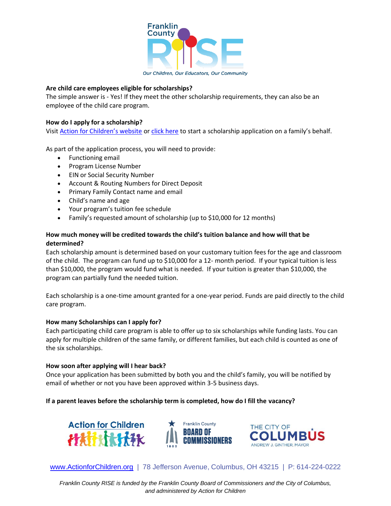

#### Our Children, Our Educators, Our Community

### **Are child care employees eligible for scholarships?**

The simple answer is - Yes! If they meet the other scholarship requirements, they can also be an employee of the child care program.

### **How do I apply for a scholarship?**

Visit [Action for Children's website](mailto:https://www.actionforchildren.org/signing-bonus-program/) or [click here](https://app.frevvo.com/frevvo/web/tn/actionforchildren/u/966e5f93-ff57-45c3-9779-24de7a12527d/app/_jqMy0V-CEey_5cAXGYGaHw/flowtype/_eYXkYYnVEeyPsc3_S4nqnQ/popupform) to start a scholarship application on a family's behalf.

As part of the application process, you will need to provide:

- Functioning email
- Program License Number
- EIN or Social Security Number
- Account & Routing Numbers for Direct Deposit
- Primary Family Contact name and email
- Child's name and age
- Your program's tuition fee schedule
- Family's requested amount of scholarship (up to \$10,000 for 12 months)

# **How much money will be credited towards the child's tuition balance and how will that be determined?**

Each scholarship amount is determined based on your customary tuition fees for the age and classroom of the child. The program can fund up to \$10,000 for a 12- month period. If your typical tuition is less than \$10,000, the program would fund what is needed. If your tuition is greater than \$10,000, the program can partially fund the needed tuition.

Each scholarship is a one-time amount granted for a one-year period. Funds are paid directly to the child care program.

#### **How many Scholarships can I apply for?**

Each participating child care program is able to offer up to six scholarships while funding lasts. You can apply for multiple children of the same family, or different families, but each child is counted as one of the six scholarships.

#### **How soon after applying will I hear back?**

Once your application has been submitted by both you and the child's family, you will be notified by email of whether or not you have been approved within 3-5 business days.

# **If a parent leaves before the scholarship term is completed, how do I fill the vacancy?**







[www.ActionforChildren.org](http://www.actionforchildren.org/) | 78 Jefferson Avenue, Columbus, OH 43215 | P: 614-224-0222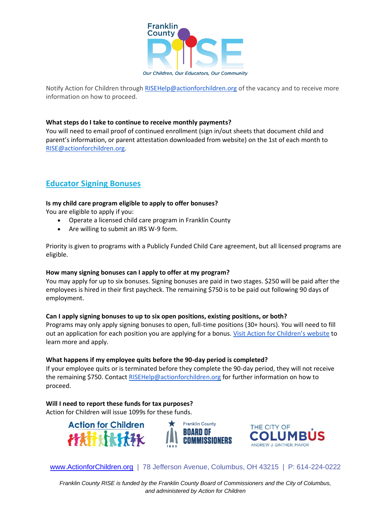

Our Children, Our Educators, Our Community

Notify Action for Children through [RISEHelp@actionforchildren.org](mailto:RISEHelp@actionforchildren.org) of the vacancy and to receive more information on how to proceed.

#### **What steps do I take to continue to receive monthly payments?**

You will need to email proof of continued enrollment (sign in/out sheets that document child and parent's information, or parent attestation downloaded from website) on the 1st of each month to [RISE@actionforchildren.org.](mailto:RISE@actionforchildren.org)

# <span id="page-2-0"></span>**Educator Signing Bonuses**

#### **Is my child care program eligible to apply to offer bonuses?**

You are eligible to apply if you:

- Operate a licensed child care program in Franklin County
- Are willing to submit an IRS W-9 form.

Priority is given to programs with a Publicly Funded Child Care agreement, but all licensed programs are eligible.

#### **How many signing bonuses can I apply to offer at my program?**

You may apply for up to six bonuses. Signing bonuses are paid in two stages. \$250 will be paid after the employees is hired in their first paycheck. The remaining \$750 is to be paid out following 90 days of employment.

#### **Can I apply signing bonuses to up to six open positions, existing positions, or both?**

Programs may only apply signing bonuses to open, full-time positions (30+ hours). You will need to fill out an application for each position you are applying for a bonus. [Visit Action for Children's website](https://www.actionforchildren.org/signing-bonus-program/) to learn more and apply.

#### **What happens if my employee quits before the 90-day period is completed?**

If your employee quits or is terminated before they complete the 90-day period, they will not receive the remaining \$750. Contact [RISEHelp@actionforchildren.org](mailto:RISEHelp@actionforchildren.org) for further information on how to proceed.

**Will I need to report these funds for tax purposes?** Action for Children will issue 1099s for these funds.





[www.ActionforChildren.org](http://www.actionforchildren.org/) | 78 Jefferson Avenue, Columbus, OH 43215 | P: 614-224-0222